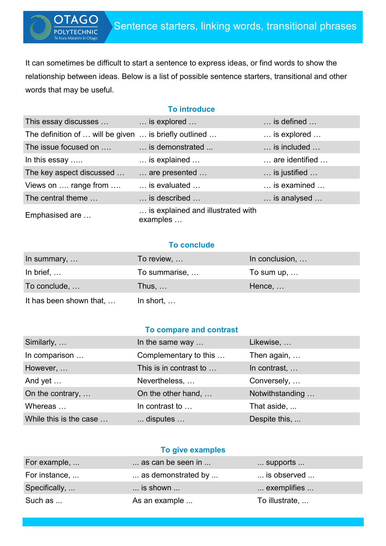It can sometimes be difficult to start a sentence to express ideas, or find words to show the relationship between ideas. Below is a list of possible sentence starters, transitional and other words that may be useful.

**TECHNIC** 

### **To introduce**

| This essay discusses                                  | is explored                                   | $\ldots$ is defined $\ldots$ |
|-------------------------------------------------------|-----------------------------------------------|------------------------------|
| The definition of  will be given  is briefly outlined |                                               | is explored                  |
| The issue focused on                                  | is demonstrated                               | is included                  |
| In this essay                                         | is explained                                  | are identified               |
| The key aspect discussed                              | are presented                                 | is justified                 |
| Views on  range from                                  | is evaluated                                  | is examined                  |
| The central theme                                     | $\ldots$ is described $\ldots$                | is analysed                  |
| Emphasised are                                        | is explained and illustrated with<br>examples |                              |

## **To conclude**

| In summary, $\dots$     | To review,         | In conclusion,     |
|-------------------------|--------------------|--------------------|
| In brief, $\ldots$      | To summarise,      | To sum up, $\dots$ |
| To conclude,            | Thus, $\dots$      | Hence,             |
| It has been shown that, | In short, $\ldots$ |                    |

#### **To compare and contrast**

| Similarly,             | In the same way        | Likewise,       |
|------------------------|------------------------|-----------------|
| In comparison          | Complementary to this  | Then again,     |
| However,               | This is in contrast to | In contrast,    |
| And yet                | Nevertheless,          | Conversely,     |
| On the contrary,       | On the other hand,     | Notwithstanding |
| Whereas                | In contrast to         | That aside,     |
| While this is the case | disputes               | Despite this,   |

### **To give examples**

| For example,  | as can be seen in        | $\ldots$ supports $\ldots$ |
|---------------|--------------------------|----------------------------|
| For instance, | as demonstrated by       | is observed                |
| Specifically, | $\dots$ is shown $\dots$ | exemplifies                |
| Such as       | As an example            | To illustrate,             |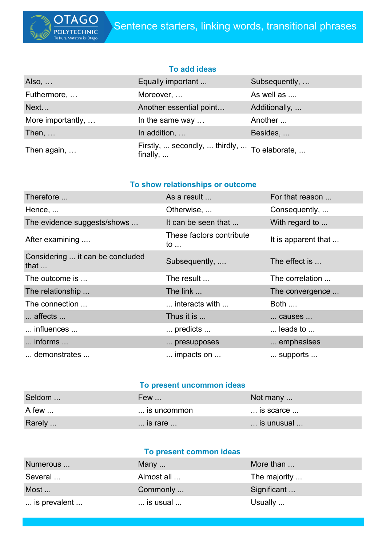

# **To add ideas**

| Also,             | Equally important                                                | Subsequently, |
|-------------------|------------------------------------------------------------------|---------------|
| Futhermore,       | Moreover,                                                        | As well as    |
| Next              | Another essential point                                          | Additionally, |
| More importantly, | In the same way                                                  | Another       |
| Then, $\dots$     | In addition,                                                     | Besides,      |
| Then again,       | Firstly,  secondly,  thirdly,  To elaborate,<br>finally, $\dots$ |               |

# **To show relationships or outcome**

| Therefore                                        | As a result                             | For that reason          |
|--------------------------------------------------|-----------------------------------------|--------------------------|
| Hence,                                           | Otherwise,                              | Consequently,            |
| The evidence suggests/shows                      | It can be seen that                     | With regard to           |
| After examining                                  | These factors contribute<br>to $\ldots$ | It is apparent that      |
| Considering  it can be concluded<br>that $\dots$ | Subsequently,                           | The effect is            |
| The outcome is                                   | The result                              | The correlation          |
| The relationship                                 | The link $\ldots$                       | The convergence          |
| The connection                                   | interacts with                          | <b>Both</b>              |
| affects                                          | Thus it is                              | causes                   |
| influences                                       | predicts                                | $\dots$ leads to $\dots$ |
| $\ldots$ informs $\ldots$                        | presupposes                             | emphasises               |
| demonstrates                                     | impacts on                              | supports                 |

## **To present uncommon ideas**

| Seldom | Few                       | Not many $\dots$ |
|--------|---------------------------|------------------|
| A few  | is uncommon               | is scarce        |
| Rarely | $\ldots$ is rare $\ldots$ | is unusual       |

# **To present common ideas**

| Numerous     | Many $\ldots$              | More than    |
|--------------|----------------------------|--------------|
| Several      | Almost all                 | The majority |
| Most         | Commonly                   | Significant  |
| is prevalent | $\ldots$ is usual $\ldots$ | Usually      |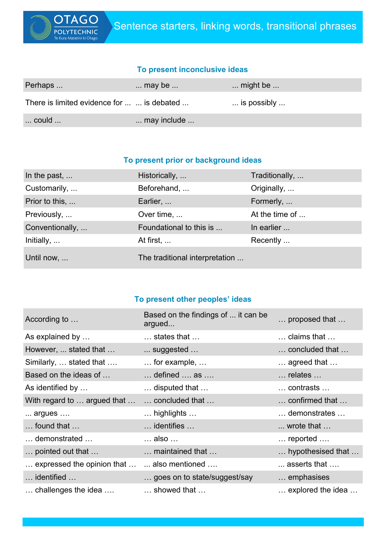

# **To present inconclusive ideas**

| Perhaps                                    | $\dots$ may be $\dots$ | $\ldots$ might be $\ldots$    |
|--------------------------------------------|------------------------|-------------------------------|
| There is limited evidence for   is debated |                        | $\ldots$ is possibly $\ldots$ |
| $\ldots$ could $\ldots$                    | may include            |                               |

## **To present prior or background ideas**

| In the past,    | Historically,                  | Traditionally, |
|-----------------|--------------------------------|----------------|
| Customarily,    | Beforehand,                    | Originally,    |
| Prior to this,  | Earlier,                       | Formerly,      |
| Previously,     | Over time,                     | At the time of |
| Conventionally, | Foundational to this is        | In earlier     |
| Initially,      | At first,                      | Recently       |
| Until now,      | The traditional interpretation |                |

# **To present other peoples' ideas**

| According to                                | Based on the findings of  it can be<br>argued | proposed that                 |
|---------------------------------------------|-----------------------------------------------|-------------------------------|
| As explained by                             | $\ldots$ states that $\ldots$                 | claims that                   |
| However,  stated that                       | suggested                                     | concluded that                |
| Similarly,  stated that                     | $\ldots$ for example, $\ldots$                | $\ldots$ agreed that $\ldots$ |
| Based on the ideas of                       | $\dots$ defined $\dots$ as $\dots$            | relates                       |
| As identified by                            | disputed that                                 | contrasts                     |
| With regard to  argued that                 | concluded that                                | confirmed that                |
| $\dots$ argues $\dots$                      | $\ldots$ highlights $\ldots$                  | demonstrates                  |
| $\ldots$ found that $\ldots$                | $\dots$ identifies $\dots$                    | $\ldots$ wrote that $\ldots$  |
| demonstrated                                | also                                          | reported                      |
| pointed out that                            | maintained that                               | hypothesised that             |
| expressed the opinion that   also mentioned |                                               | $\dots$ asserts that $\dots$  |
| identified                                  | goes on to state/suggest/say                  | emphasises                    |
| $\ldots$ challenges the idea $\ldots$       | showed that                                   | explored the idea             |